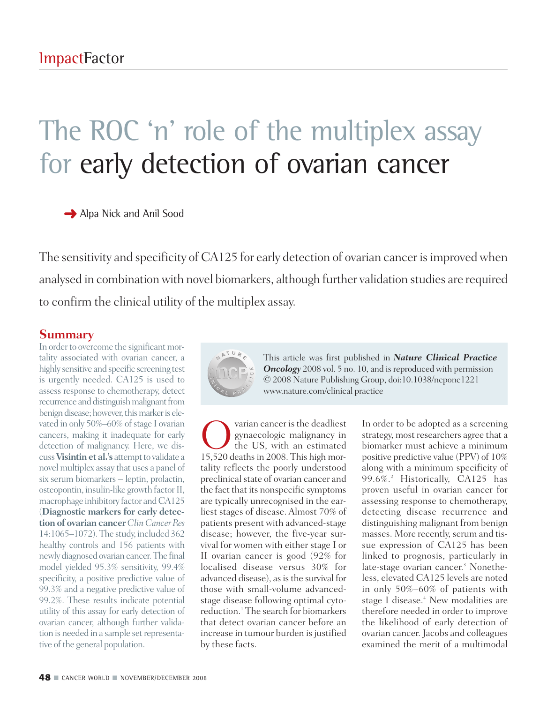## The ROC 'n' role of the multiplex assay for early detection of ovarian cancer

**→** Alpa Nick and Anil Sood

The sensitivity and specificity of CA125 for early detection of ovarian cancer is improved when analysed in combination with novel biomarkers, although further validation studies are required to confirm the clinical utility of the multiplex assay.

## **Summary**

In order to overcome the significant mortality associated with ovarian cancer, a highly sensitive and specific screening test is urgently needed. CA125 is used to assess response to chemotherapy, detect recurrence and distinguish malignant from benign disease; however, this marker is elevated in only  $50\% - 60\%$  of stage I ovarian cancers, making it inadequate for early detection of malignancy. Here, we dis**cuss Visintin et al.'s** attempt to validate a novel multiplex assay that uses a panel of six serum biomarkers – leptin, prolactin, osteopontin, insulin-like growth factor II, macrophage inhibitory factor and CA125 (**Diagnostic markers for early detection of ovarian cancer***ClinCancerRes* 14:1065–1072).The study, included 362 healthy controls and 156 patients with newly diagnosed ovarian cancer.The final model yielded 95.3% sensitivity, 99.4% specificity, a positive predictive value of 99.3% and a negative predictive value of 99.2%. These results indicate potential utility of this assay for early detection of ovarian cancer, although further validation is needed in a sample setrepresentative of the general population.



This article was first published in *Nature Clinical Practice* **Oncology** 2008 vol. 5 no. 10, and is reproduced with permission © 2008 Nature Publishing Group, doi:10.1038/ncponc1221 www.nature.com/clinical practice

Ovarian cancer isthe deadliest gynaecologic malignancy in the US, with an estimated 15,520 deaths in 2008. This high mortality reflects the poorly understood preclinical state of ovarian cancer and the fact that its nonspecific symptoms are typically unrecognised in the earliest stages of disease. Almost 70% of patients present with advanced-stage disease; however, the five-year survival for women with either stage I or II ovarian cancer is good (92% for localised disease versus 30% for advanced disease), as is the survival for those with small-volume advancedstage disease following optimal cytoreduction. <sup>1</sup> The search for biomarkers that detect ovarian cancer before an increase in tumour burden is justified by these facts.

In order to be adopted as a screening strategy, most researchers agree that a biomarker must achieve a minimum positive predictive value (PPV) of 10% along with a minimum specificity of 99.6%. <sup>2</sup> Historically, CA125 has proven useful in ovarian cancer for assessing response to chemotherapy, detecting disease recurrence and distinguishing malignant from benign masses. More recently, serum and tissue expression of CA125 has been linked to prognosis, particularly in late-stage ovarian cancer. <sup>3</sup> Nonetheless, elevated CA125 levels are noted in only 50%–60% of patients with stage I disease. <sup>4</sup> New modalities are therefore needed in order to improve the likelihood of early detection of ovarian cancer. Jacobs and colleagues examined the merit of a multimodal